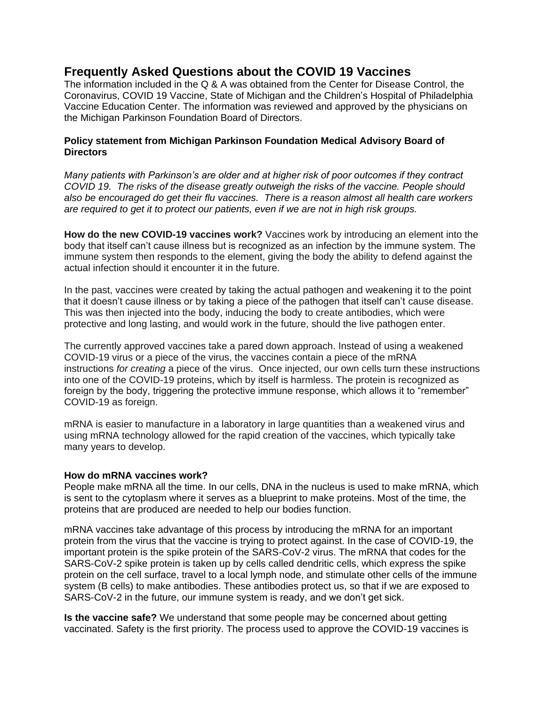# **Frequently Asked Questions about the COVID 19 Vaccines**

The information included in the Q & A was obtained from the Center for Disease Control, the Coronavirus, COVID 19 Vaccine, State of Michigan and the Children's Hospital of Philadelphia Vaccine Education Center. The information was reviewed and approved by the physicians on the Michigan Parkinson Foundation Board of Directors.

## **Policy statement from Michigan Parkinson Foundation Medical Advisory Board of Directors**

*Many patients with Parkinson's are older and at higher risk of poor outcomes if they contract COVID 19. The risks of the disease greatly outweigh the risks of the vaccine. People should also be encouraged do get their flu vaccines. There is a reason almost all health care workers are required to get it to protect our patients, even if we are not in high risk groups.*

**How do the new COVID-19 vaccines work?** Vaccines work by introducing an element into the body that itself can't cause illness but is recognized as an infection by the immune system. The immune system then responds to the element, giving the body the ability to defend against the actual infection should it encounter it in the future.

In the past, vaccines were created by taking the actual pathogen and weakening it to the point that it doesn't cause illness or by taking a piece of the pathogen that itself can't cause disease. This was then injected into the body, inducing the body to create antibodies, which were protective and long lasting, and would work in the future, should the live pathogen enter.

The currently approved vaccines take a pared down approach. Instead of using a weakened COVID-19 virus or a piece of the virus, the vaccines contain a piece of the mRNA instructions *for creating* a piece of the virus. Once injected, our own cells turn these instructions into one of the COVID-19 proteins, which by itself is harmless. The protein is recognized as foreign by the body, triggering the protective immune response, which allows it to "remember" COVID-19 as foreign.

mRNA is easier to manufacture in a laboratory in large quantities than a weakened virus and using mRNA technology allowed for the rapid creation of the vaccines, which typically take many years to develop.

#### **How do mRNA vaccines work?**

People make mRNA all the time. In our cells, DNA in the nucleus is used to make mRNA, which is sent to the cytoplasm where it serves as a blueprint to make proteins. Most of the time, the proteins that are produced are needed to help our bodies function.

mRNA vaccines take advantage of this process by introducing the mRNA for an important protein from the virus that the vaccine is trying to protect against. In the case of COVID-19, the important protein is the spike protein of the SARS-CoV-2 virus. The mRNA that codes for the SARS-CoV-2 spike protein is taken up by cells called dendritic cells, which express the spike protein on the cell surface, travel to a local lymph node, and stimulate other cells of the immune system (B cells) to make antibodies. These antibodies protect us, so that if we are exposed to SARS-CoV-2 in the future, our immune system is ready, and we don't get sick.

**Is the vaccine safe?** We understand that some people may be concerned about getting vaccinated. Safety is the first priority. The process used to approve the COVID-19 vaccines is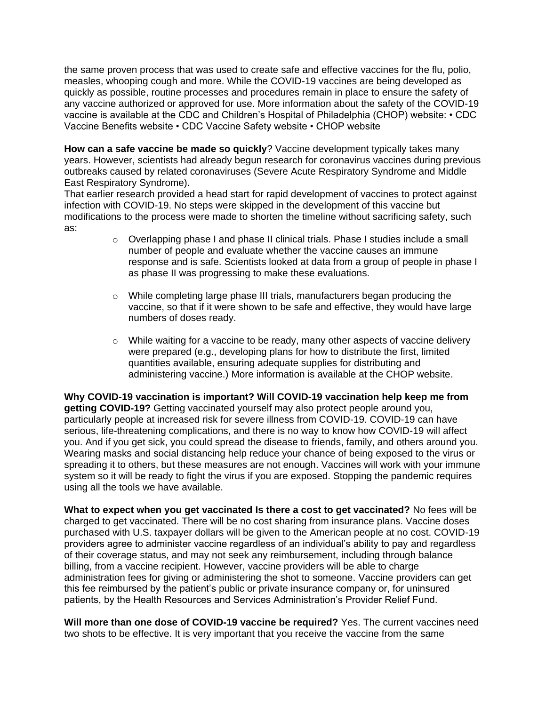the same proven process that was used to create safe and effective vaccines for the flu, polio, measles, whooping cough and more. While the COVID-19 vaccines are being developed as quickly as possible, routine processes and procedures remain in place to ensure the safety of any vaccine authorized or approved for use. More information about the safety of the COVID-19 vaccine is available at the CDC and Children's Hospital of Philadelphia (CHOP) website: • CDC Vaccine Benefits website • CDC Vaccine Safety website • CHOP website

**How can a safe vaccine be made so quickly**? Vaccine development typically takes many years. However, scientists had already begun research for coronavirus vaccines during previous outbreaks caused by related coronaviruses (Severe Acute Respiratory Syndrome and Middle East Respiratory Syndrome).

That earlier research provided a head start for rapid development of vaccines to protect against infection with COVID-19. No steps were skipped in the development of this vaccine but modifications to the process were made to shorten the timeline without sacrificing safety, such as:

- $\circ$  Overlapping phase I and phase II clinical trials. Phase I studies include a small number of people and evaluate whether the vaccine causes an immune response and is safe. Scientists looked at data from a group of people in phase I as phase II was progressing to make these evaluations.
- $\circ$  While completing large phase III trials, manufacturers began producing the vaccine, so that if it were shown to be safe and effective, they would have large numbers of doses ready.
- $\circ$  While waiting for a vaccine to be ready, many other aspects of vaccine delivery were prepared (e.g., developing plans for how to distribute the first, limited quantities available, ensuring adequate supplies for distributing and administering vaccine.) More information is available at the CHOP website.

**Why COVID-19 vaccination is important? Will COVID-19 vaccination help keep me from getting COVID-19?** Getting vaccinated yourself may also protect people around you, particularly people at increased risk for severe illness from COVID-19. COVID-19 can have serious, life-threatening complications, and there is no way to know how COVID-19 will affect you. And if you get sick, you could spread the disease to friends, family, and others around you. Wearing masks and social distancing help reduce your chance of being exposed to the virus or spreading it to others, but these measures are not enough. Vaccines will work with your immune system so it will be ready to fight the virus if you are exposed. Stopping the pandemic requires using all the tools we have available.

**What to expect when you get vaccinated Is there a cost to get vaccinated?** No fees will be charged to get vaccinated. There will be no cost sharing from insurance plans. Vaccine doses purchased with U.S. taxpayer dollars will be given to the American people at no cost. COVID-19 providers agree to administer vaccine regardless of an individual's ability to pay and regardless of their coverage status, and may not seek any reimbursement, including through balance billing, from a vaccine recipient. However, vaccine providers will be able to charge administration fees for giving or administering the shot to someone. Vaccine providers can get this fee reimbursed by the patient's public or private insurance company or, for uninsured patients, by the Health Resources and Services Administration's Provider Relief Fund.

**Will more than one dose of COVID-19 vaccine be required?** Yes. The current vaccines need two shots to be effective. It is very important that you receive the vaccine from the same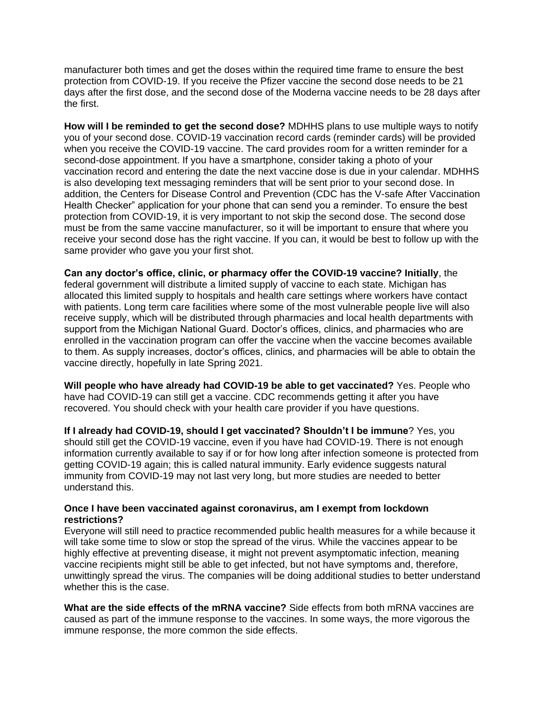manufacturer both times and get the doses within the required time frame to ensure the best protection from COVID-19. If you receive the Pfizer vaccine the second dose needs to be 21 days after the first dose, and the second dose of the Moderna vaccine needs to be 28 days after the first.

**How will I be reminded to get the second dose?** MDHHS plans to use multiple ways to notify you of your second dose. COVID-19 vaccination record cards (reminder cards) will be provided when you receive the COVID-19 vaccine. The card provides room for a written reminder for a second-dose appointment. If you have a smartphone, consider taking a photo of your vaccination record and entering the date the next vaccine dose is due in your calendar. MDHHS is also developing text messaging reminders that will be sent prior to your second dose. In addition, the Centers for Disease Control and Prevention (CDC has the V-safe After Vaccination Health Checker" application for your phone that can send you a reminder. To ensure the best protection from COVID-19, it is very important to not skip the second dose. The second dose must be from the same vaccine manufacturer, so it will be important to ensure that where you receive your second dose has the right vaccine. If you can, it would be best to follow up with the same provider who gave you your first shot.

**Can any doctor's office, clinic, or pharmacy offer the COVID-19 vaccine? Initially**, the federal government will distribute a limited supply of vaccine to each state. Michigan has allocated this limited supply to hospitals and health care settings where workers have contact with patients. Long term care facilities where some of the most vulnerable people live will also receive supply, which will be distributed through pharmacies and local health departments with support from the Michigan National Guard. Doctor's offices, clinics, and pharmacies who are enrolled in the vaccination program can offer the vaccine when the vaccine becomes available to them. As supply increases, doctor's offices, clinics, and pharmacies will be able to obtain the vaccine directly, hopefully in late Spring 2021.

**Will people who have already had COVID-19 be able to get vaccinated?** Yes. People who have had COVID-19 can still get a vaccine. CDC recommends getting it after you have recovered. You should check with your health care provider if you have questions.

**If I already had COVID-19, should I get vaccinated? Shouldn't I be immune**? Yes, you should still get the COVID-19 vaccine, even if you have had COVID-19. There is not enough information currently available to say if or for how long after infection someone is protected from getting COVID-19 again; this is called natural immunity. Early evidence suggests natural immunity from COVID-19 may not last very long, but more studies are needed to better understand this.

## **Once I have been vaccinated against coronavirus, am I exempt from lockdown restrictions?**

Everyone will still need to practice recommended public health measures for a while because it will take some time to slow or stop the spread of the virus. While the vaccines appear to be highly effective at preventing disease, it might not prevent asymptomatic infection, meaning vaccine recipients might still be able to get infected, but not have symptoms and, therefore, unwittingly spread the virus. The companies will be doing additional studies to better understand whether this is the case.

**What are the side effects of the mRNA vaccine?** Side effects from both mRNA vaccines are caused as part of the immune response to the vaccines. In some ways, the more vigorous the immune response, the more common the side effects.